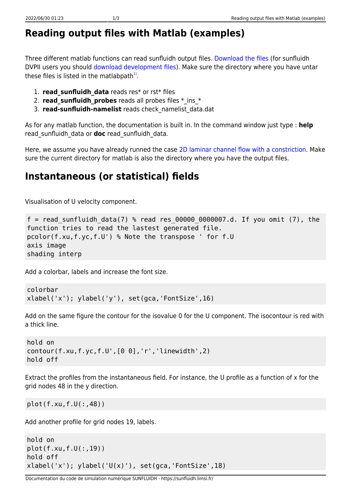## **Reading output files with Matlab (examples)**

Three different matlab functions can read sunfluidh output files. [Download the files](https://sunfluidh.limsi.fr/_media/sunfluidh:matlabforsunfluidh.tar) (for sunfluidh DVPII users you should [download development files\)](https://sunfluidh.limsi.fr/_media/sunfluidh:read_sunfluidh_data.tar). Make sure the directory where you have untar these files is listed in the matlabpath $^{1)}$  $^{1)}$  $^{1)}$ .

- 1. **read sunfluidh data** reads res\* or rst\* files
- 2. **read sunfluidh probes** reads all probes files \* ins \*
- 3. **read-sunfluidh-namelist** reads check\_namelist\_data.dat

As for any matlab function, the documentation is built in. In the command window just type : **help** read\_sunfluidh\_data or **doc** read\_sunfluidh\_data.

Here, we assume you have already runned the case [2D laminar channel flow with a constriction](https://sunfluidh.limsi.fr/sunfluidh:2d_channel_flow_with_bar_incomp_flow). Make sure the current directory for matlab is also the directory where you have the output files.

## **Instantaneous (or statistical) fields**

Visualisation of U velocity component.

```
f = read sunfluidh data(7) % read res 00000 0000007.d. If you omit (7), the
function tries to read the lastest generated file.
pcolor(f.xu,f.yc,f.U') % Note the transpose ' for f.U
axis image
shading interp
```
Add a colorbar, labels and increase the font size.

```
colorbar
xlabel('x'); ylabel('y'), set(gca,'FontSize',16)
```
Add on the same figure the contour for the isovalue 0 for the U component. The isocontour is red with a thick line.

```
hold on
contour(f.xu,f.yc,f.U',[0 0],'r','linewidth',2)
hold off
```
Extract the profiles from the instantaneous field. For instance, the U profile as a function of x for the grid nodes 48 in the y direction.

```
plot(f.xu,f.U(:,48))
```
Add another profile for grid nodes 19, labels.

```
hold on
plot(f.xu,f.U(:,19))
hold off
xlabel('x'); ylabel('U(x)');\ set(gca,'FontSize',18)
```
Documentation du code de simulation numérique SUNFLUIDH - https://sunfluidh.limsi.fr/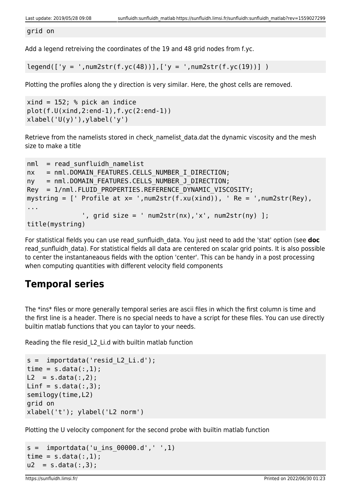grid on

Add a legend retreiving the coordinates of the 19 and 48 grid nodes from f.yc.

 $legend([y = ',num2str(f.yc(48))], ['y = ',num2str(f.yc(19))])$ 

Plotting the profiles along the y direction is very similar. Here, the ghost cells are removed.

```
xind = 152; % pick an indice
plot(f.U(xind,2:end-1),f.yc(2:end-1))
xlabel('U(y)'), ylabel('y')
```
Retrieve from the namelists stored in check namelist data.dat the dynamic viscosity and the mesh size to make a title

```
nml = read sunfluidh namelistnx = nml.DOMAIN FEATURES.CELLS NUMBER I DIRECTION;
ny = nml.DOMAIN FEATURES.CELLS NUMBER J DIRECTION;
Rey = 1/nml.FLUID PROPERTIES.REFERENCE DYNAMIC VISCOSITY;
mystring = [ Profile at x= ', num2str(f.xu(xind)), \prime Re = \prime, num2str(Rey),
...
              ', grid size = ' num2str(nx), 'x', num2str(ny) ];
title(mystring)
```
For statistical fields you can use read\_sunfluidh\_data. You just need to add the 'stat' option (see **doc** read sunfluidh data). For statistical fields all data are centered on scalar grid points. It is also possible to center the instantaneaous fields with the option 'center'. This can be handy in a post processing when computing quantities with different velocity field components

## **Temporal series**

The \*ins\* files or more generally temporal series are ascii files in which the first column is time and the first line is a header. There is no special needs to have a script for these files. You can use directly builtin matlab functions that you can taylor to your needs.

Reading the file resid\_L2\_Li.d with builtin matlab function

```
s = importdata('resid_L2_Li.d');
time = s.data(:, 1);L2 = s.data(:,2);Linf = s.data(:,3);semilogy(time,L2)
grid on
xlabel('t'); ylabel('L2 norm')
```
Plotting the U velocity component for the second probe with builtin matlab function

```
s = importdata('u ins 00000.d', ' ', 1)time = s.data(:,1);u2 = s.data(:,3);
```